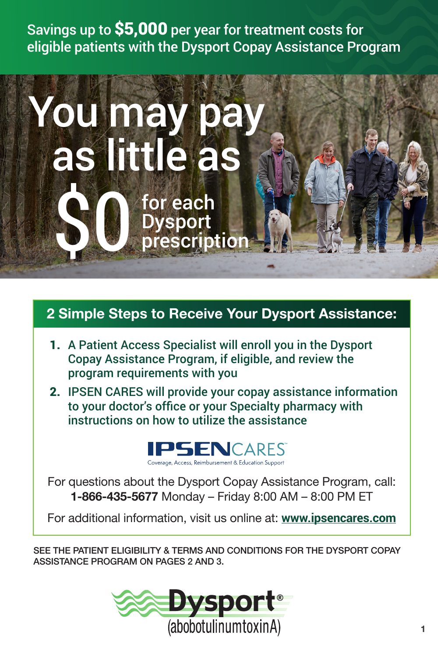Savings up to \$5,000 per year for treatment costs for eligible patients with the Dysport Copay Assistance Program



#### 2 Simple Steps to Receive Your Dysport Assistance:

- 1. A Patient Access Specialist will enroll you in the Dysport Copay Assistance Program, if eligible, and review the program requirements with you
- 2. IPSEN CARES will provide your copay assistance information to your doctor's office or your Specialty pharmacy with instructions on how to utilize the assistance



For questions about the Dysport Copay Assistance Program, call: 1-866-435-5677 Monday – Friday 8:00 AM – 8:00 PM ET

For additional information, visit us online at: **[www.ipsencares.com](http://www.ipsencares.com)**

SEE THE PATIENT ELIGIBILITY & TERMS AND CONDITIONS FOR THE DYSPORT COPAY ASSISTANCE PROGRAM ON PAGES 2 AND 3.

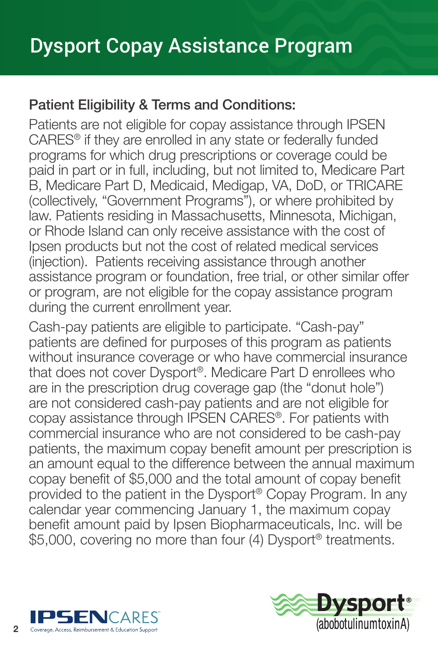### Patient Eligibility & Terms and Conditions:

Patients are not eligible for copay assistance through IPSEN CARES® if they are enrolled in any state or federally funded programs for which drug prescriptions or coverage could be paid in part or in full, including, but not limited to, Medicare Part B, Medicare Part D, Medicaid, Medigap, VA, DoD, or TRICARE (collectively, "Government Programs"), or where prohibited by law. Patients residing in Massachusetts, Minnesota, Michigan, or Rhode Island can only receive assistance with the cost of Ipsen products but not the cost of related medical services (injection). Patients receiving assistance through another assistance program or foundation, free trial, or other similar offer or program, are not eligible for the copay assistance program during the current enrollment year.

Cash-pay patients are eligible to participate. "Cash-pay" patients are defined for purposes of this program as patients without insurance coverage or who have commercial insurance that does not cover Dysport®. Medicare Part D enrollees who are in the prescription drug coverage gap (the "donut hole") are not considered cash-pay patients and are not eligible for copay assistance through IPSEN CARES®. For patients with commercial insurance who are not considered to be cash-pay patients, the maximum copay benefit amount per prescription is an amount equal to the difference between the annual maximum copay benefit of \$5,000 and the total amount of copay benefit provided to the patient in the Dysport® Copay Program. In any calendar year commencing January 1, the maximum copay benefit amount paid by Ipsen Biopharmaceuticals, Inc. will be \$5,000, covering no more than four (4) Dysport<sup>®</sup> treatments.



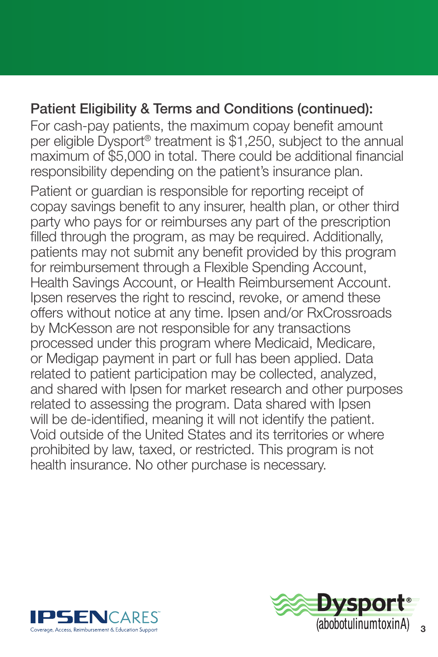### Patient Eligibility & Terms and Conditions (continued):

 For cash-pay patients, the maximum copay benefit amount per eligible Dysport® treatment is \$1,250, subject to the annual maximum of \$5,000 in total. There could be additional financial responsibility depending on the patient's insurance plan.

Patient or guardian is responsible for reporting receipt of copay savings benefit to any insurer, health plan, or other third party who pays for or reimburses any part of the prescription filled through the program, as may be required. Additionally, patients may not submit any benefit provided by this program for reimbursement through a Flexible Spending Account, Health Savings Account, or Health Reimbursement Account. Ipsen reserves the right to rescind, revoke, or amend these offers without notice at any time. Ipsen and/or RxCrossroads by McKesson are not responsible for any transactions processed under this program where Medicaid, Medicare, or Medigap payment in part or full has been applied. Data related to patient participation may be collected, analyzed, and shared with Ipsen for market research and other purposes related to assessing the program. Data shared with Ipsen will be de-identified, meaning it will not identify the patient. Void outside of the United States and its territories or where prohibited by law, taxed, or restricted. This program is not health insurance. No other purchase is necessary.